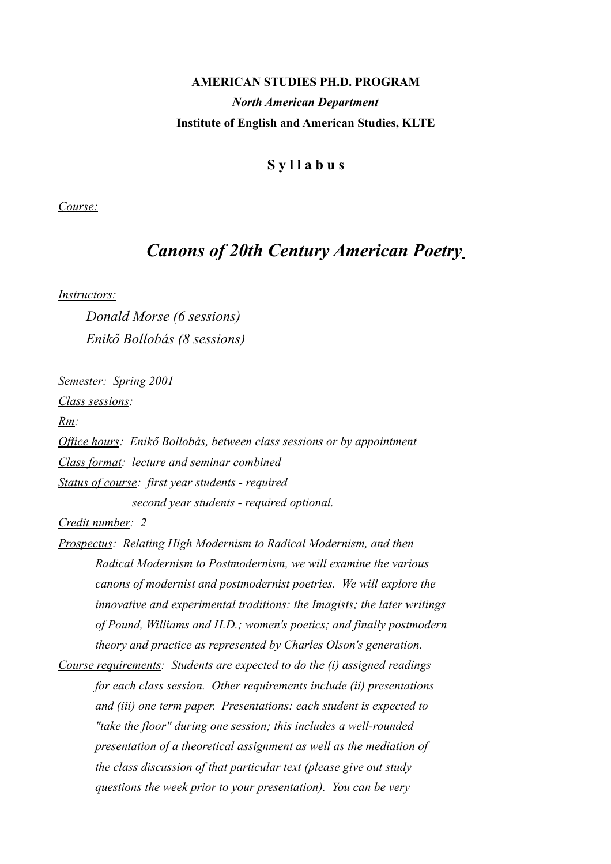# **AMERICAN STUDIES PH.D. PROGRAM** *North American Department* **Institute of English and American Studies, KLTE**

# **S y l l a b u s**

*Course:*

# *Canons of 20th Century American Poetry*

*Instructors:*

*Donald Morse (6 sessions) Enikő Bollobás (8 sessions)*

*Semester: Spring 2001*

*Class sessions:*

*Rm:*

*Office hours: Enikő Bollobás, between class sessions or by appointment Class format: lecture and seminar combined Status of course: first year students - required second year students - required optional.*

*Credit number: 2*

- *Prospectus: Relating High Modernism to Radical Modernism, and then Radical Modernism to Postmodernism, we will examine the various canons of modernist and postmodernist poetries. We will explore the innovative and experimental traditions: the Imagists; the later writings of Pound, Williams and H.D.; women's poetics; and finally postmodern theory and practice as represented by Charles Olson's generation.*
- *Course requirements: Students are expected to do the (i) assigned readings for each class session. Other requirements include (ii) presentations and (iii) one term paper. Presentations: each student is expected to "take the floor" during one session; this includes a well-rounded presentation of a theoretical assignment as well as the mediation of the class discussion of that particular text (please give out study questions the week prior to your presentation). You can be very*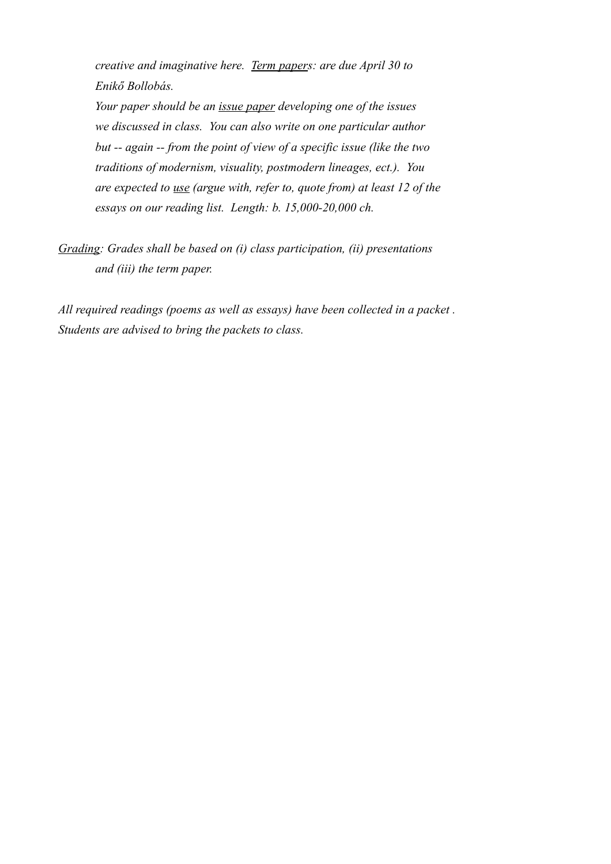*creative and imaginative here. Term papers: are due April 30 to Enikő Bollobás.*

*Your paper should be an issue paper developing one of the issues we discussed in class. You can also write on one particular author but -- again -- from the point of view of a specific issue (like the two traditions of modernism, visuality, postmodern lineages, ect.). You are expected to use (argue with, refer to, quote from) at least 12 of the essays on our reading list. Length: b. 15,000-20,000 ch.*

*Grading: Grades shall be based on (i) class participation, (ii) presentations and (iii) the term paper.*

*All required readings (poems as well as essays) have been collected in a packet . Students are advised to bring the packets to class.*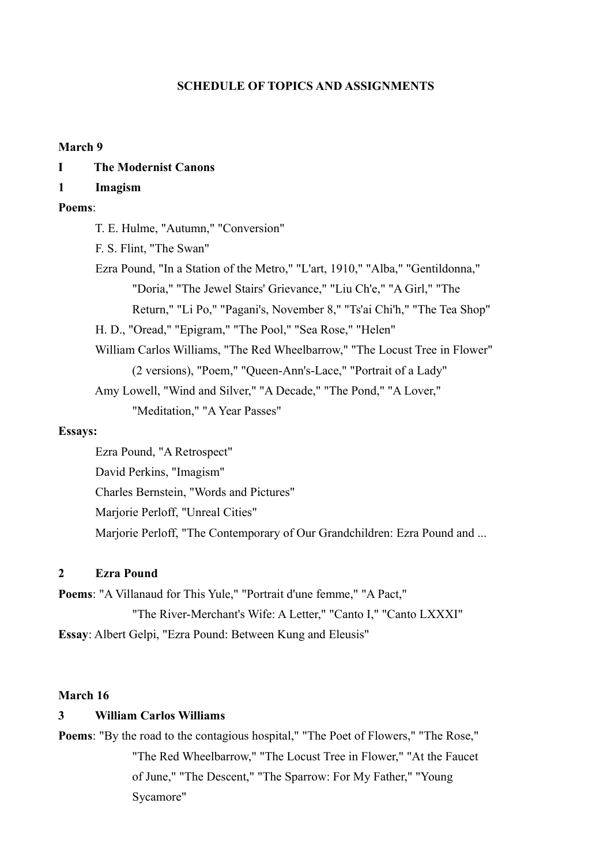### **SCHEDULE OF TOPICS AND ASSIGNMENTS**

### **March 9**

## **I The Modernist Canons**

### **1 Imagism**

### **Poems**:

T. E. Hulme, "Autumn," "Conversion"

F. S. Flint, "The Swan"

Ezra Pound, "In a Station of the Metro," "L'art, 1910," "Alba," "Gentildonna," "Doria," "The Jewel Stairs' Grievance," "Liu Ch'e," "A Girl," "The Return," "Li Po," "Pagani's, November 8," "Ts'ai Chi'h," "The Tea Shop" H. D., "Oread," "Epigram," "The Pool," "Sea Rose," "Helen" William Carlos Williams, "The Red Wheelbarrow," "The Locust Tree in Flower" (2 versions), "Poem," "Queen-Ann's-Lace," "Portrait of a Lady" Amy Lowell, "Wind and Silver," "A Decade," "The Pond," "A Lover," "Meditation," "A Year Passes"

### **Essays:**

Ezra Pound, "A Retrospect" David Perkins, "Imagism" Charles Bernstein, "Words and Pictures" Marjorie Perloff, "Unreal Cities" Marjorie Perloff, "The Contemporary of Our Grandchildren: Ezra Pound and ...

#### **2 Ezra Pound**

**Poems**: "A Villanaud for This Yule," "Portrait d'une femme," "A Pact," "The River-Merchant's Wife: A Letter," "Canto I," "Canto LXXXI" **Essay**: Albert Gelpi, "Ezra Pound: Between Kung and Eleusis"

## **March 16**

# **3 William Carlos Williams**

**Poems**: "By the road to the contagious hospital," "The Poet of Flowers," "The Rose," "The Red Wheelbarrow," "The Locust Tree in Flower," "At the Faucet of June," "The Descent," "The Sparrow: For My Father," "Young Sycamore"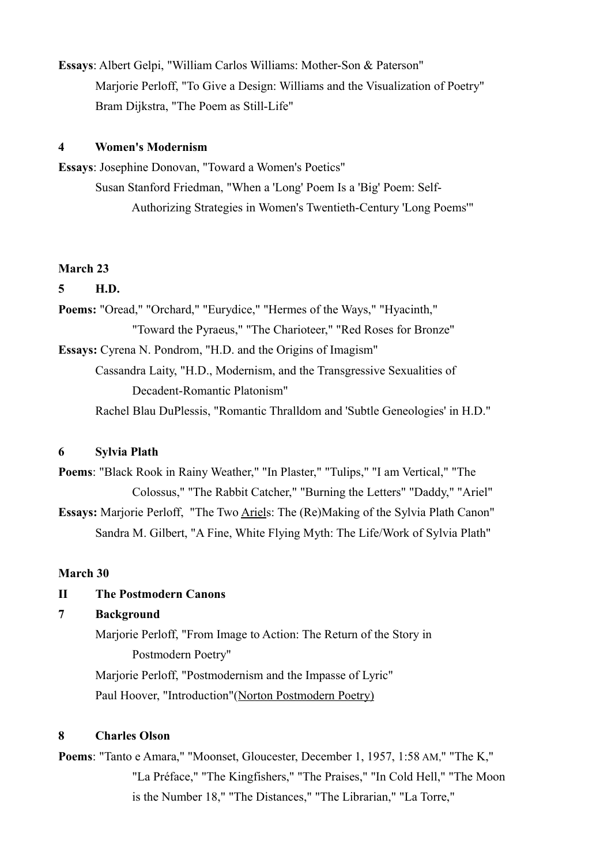**Essays**: Albert Gelpi, "William Carlos Williams: Mother-Son & Paterson" Marjorie Perloff, "To Give a Design: Williams and the Visualization of Poetry" Bram Dijkstra, "The Poem as Still-Life"

### **4 Women's Modernism**

**Essays**: Josephine Donovan, "Toward a Women's Poetics" Susan Stanford Friedman, "When a 'Long' Poem Is a 'Big' Poem: Self-Authorizing Strategies in Women's Twentieth-Century 'Long Poems'"

## **March 23**

# **5 H.D.**

**Poems:** "Oread," "Orchard," "Eurydice," "Hermes of the Ways," "Hyacinth," "Toward the Pyraeus," "The Charioteer," "Red Roses for Bronze" **Essays:** Cyrena N. Pondrom, "H.D. and the Origins of Imagism" Cassandra Laity, "H.D., Modernism, and the Transgressive Sexualities of Decadent-Romantic Platonism" Rachel Blau DuPlessis, "Romantic Thralldom and 'Subtle Geneologies' in H.D."

# **6 Sylvia Plath**

**Poems**: "Black Rook in Rainy Weather," "In Plaster," "Tulips," "I am Vertical," "The Colossus," "The Rabbit Catcher," "Burning the Letters" "Daddy," "Ariel" **Essays:** Marjorie Perloff, "The Two Ariels: The (Re)Making of the Sylvia Plath Canon" Sandra M. Gilbert, "A Fine, White Flying Myth: The Life/Work of Sylvia Plath"

#### **March 30**

# **II The Postmodern Canons**

# **7 Background**

Marjorie Perloff, "From Image to Action: The Return of the Story in Postmodern Poetry" Marjorie Perloff, "Postmodernism and the Impasse of Lyric" Paul Hoover, "Introduction"(Norton Postmodern Poetry)

# **8 Charles Olson**

**Poems**: "Tanto e Amara," "Moonset, Gloucester, December 1, 1957, 1:58 AM," "The K," "La Préface," "The Kingfishers," "The Praises," "In Cold Hell," "The Moon is the Number 18," "The Distances," "The Librarian," "La Torre,"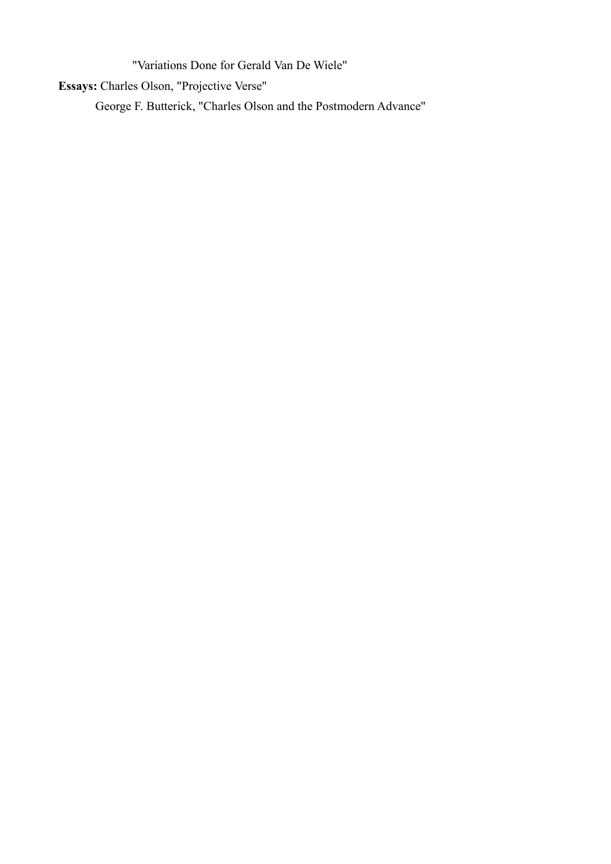"Variations Done for Gerald Van De Wiele"

**Essays:** Charles Olson, "Projective Verse"

George F. Butterick, "Charles Olson and the Postmodern Advance"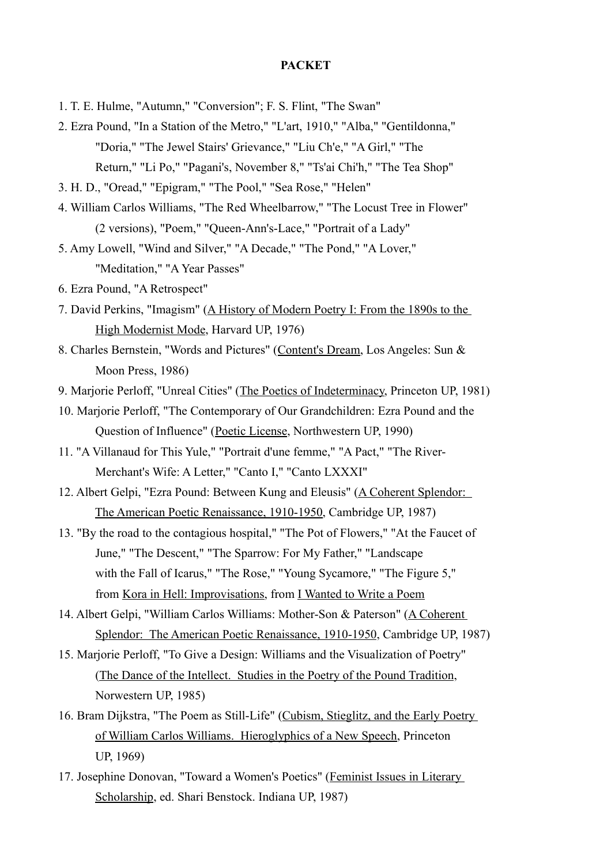### **PACKET**

- 1. T. E. Hulme, "Autumn," "Conversion"; F. S. Flint, "The Swan"
- 2. Ezra Pound, "In a Station of the Metro," "L'art, 1910," "Alba," "Gentildonna," "Doria," "The Jewel Stairs' Grievance," "Liu Ch'e," "A Girl," "The Return," "Li Po," "Pagani's, November 8," "Ts'ai Chi'h," "The Tea Shop"
- 3. H. D., "Oread," "Epigram," "The Pool," "Sea Rose," "Helen"
- 4. William Carlos Williams, "The Red Wheelbarrow," "The Locust Tree in Flower" (2 versions), "Poem," "Queen-Ann's-Lace," "Portrait of a Lady"
- 5. Amy Lowell, "Wind and Silver," "A Decade," "The Pond," "A Lover," "Meditation," "A Year Passes"
- 6. Ezra Pound, "A Retrospect"
- 7. David Perkins, "Imagism" (A History of Modern Poetry I: From the 1890s to the High Modernist Mode, Harvard UP, 1976)
- 8. Charles Bernstein, "Words and Pictures" (Content's Dream, Los Angeles: Sun & Moon Press, 1986)
- 9. Marjorie Perloff, "Unreal Cities" (The Poetics of Indeterminacy, Princeton UP, 1981)
- 10. Marjorie Perloff, "The Contemporary of Our Grandchildren: Ezra Pound and the Question of Influence" (Poetic License, Northwestern UP, 1990)
- 11. "A Villanaud for This Yule," "Portrait d'une femme," "A Pact," "The River-Merchant's Wife: A Letter," "Canto I," "Canto LXXXI"
- 12. Albert Gelpi, "Ezra Pound: Between Kung and Eleusis" ( A Coherent Splendor: The American Poetic Renaissance, 1910-1950, Cambridge UP, 1987)
- 13. "By the road to the contagious hospital," "The Pot of Flowers," "At the Faucet of June," "The Descent," "The Sparrow: For My Father," "Landscape with the Fall of Icarus," "The Rose," "Young Sycamore," "The Figure 5," from Kora in Hell: Improvisations, from I Wanted to Write a Poem
- 14. Albert Gelpi, "William Carlos Williams: Mother-Son & Paterson" (A Coherent Splendor: The American Poetic Renaissance, 1910-1950, Cambridge UP, 1987)
- 15. Marjorie Perloff, "To Give a Design: Williams and the Visualization of Poetry" ( The Dance of the Intellect. Studies in the Poetry of the Pound Tradition, Norwestern UP, 1985)
- 16. Bram Dijkstra, "The Poem as Still-Life" (Cubism, Stieglitz, and the Early Poetry of William Carlos Williams. Hieroglyphics of a New Speech, Princeton UP, 1969)
- 17. Josephine Donovan, "Toward a Women's Poetics" (Feminist Issues in Literary Scholarship, ed. Shari Benstock. Indiana UP, 1987)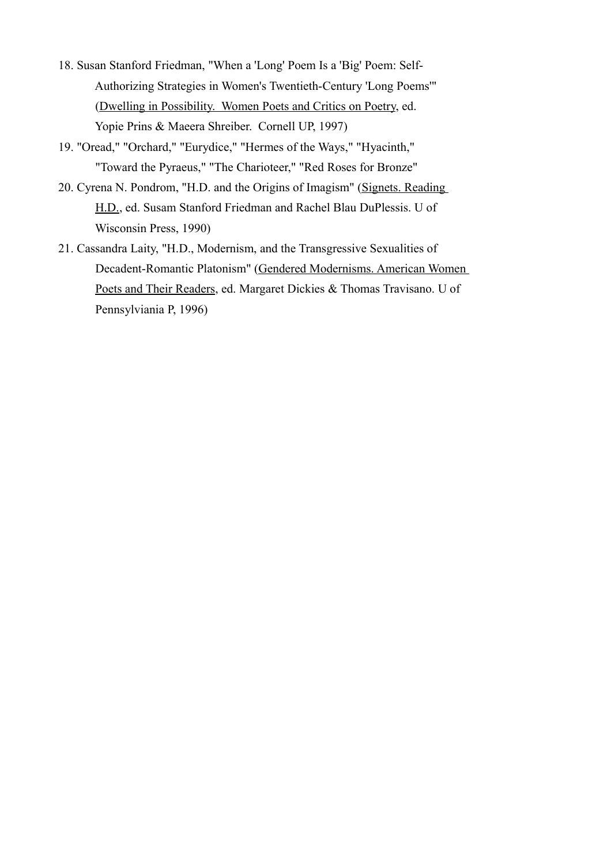- 18. Susan Stanford Friedman, "When a 'Long' Poem Is a 'Big' Poem: Self-Authorizing Strategies in Women's Twentieth-Century 'Long Poems'" ( Dwelling in Possibility. Women Poets and Critics on Poetry, ed. Yopie Prins & Maeera Shreiber. Cornell UP, 1997)
- 19. "Oread," "Orchard," "Eurydice," "Hermes of the Ways," "Hyacinth," "Toward the Pyraeus," "The Charioteer," "Red Roses for Bronze"
- 20. Cyrena N. Pondrom, "H.D. and the Origins of Imagism" ( Signets. Reading H.D., ed. Susam Stanford Friedman and Rachel Blau DuPlessis. U of Wisconsin Press, 1990)
- 21. Cassandra Laity, "H.D., Modernism, and the Transgressive Sexualities of Decadent-Romantic Platonism" (Gendered Modernisms. American Women Poets and Their Readers, ed. Margaret Dickies & Thomas Travisano. U of Pennsylviania P, 1996)